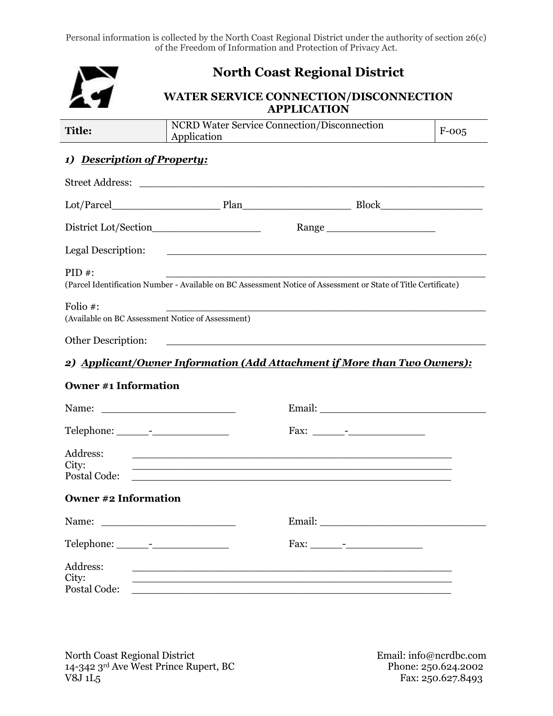Personal information is collected by the North Coast Regional District under the authority of section 26(c) of the Freedom of Information and Protection of Privacy Act.

|                                                               | <b>North Coast Regional District</b>                                                                                  |                                                                                                                                                                                                                                                                                                                                  |         |
|---------------------------------------------------------------|-----------------------------------------------------------------------------------------------------------------------|----------------------------------------------------------------------------------------------------------------------------------------------------------------------------------------------------------------------------------------------------------------------------------------------------------------------------------|---------|
|                                                               |                                                                                                                       | <b>WATER SERVICE CONNECTION/DISCONNECTION</b><br><b>APPLICATION</b>                                                                                                                                                                                                                                                              |         |
| <b>Title:</b>                                                 | Application                                                                                                           | <b>NCRD</b> Water Service Connection/Disconnection                                                                                                                                                                                                                                                                               | $F-005$ |
| 1) Description of Property:                                   |                                                                                                                       |                                                                                                                                                                                                                                                                                                                                  |         |
|                                                               |                                                                                                                       |                                                                                                                                                                                                                                                                                                                                  |         |
|                                                               |                                                                                                                       |                                                                                                                                                                                                                                                                                                                                  |         |
|                                                               |                                                                                                                       |                                                                                                                                                                                                                                                                                                                                  |         |
| Legal Description:                                            | <u> 1990 - Johann Barbara, martin amerikan basal dan berasal dalam basal dalam basal dalam basal dalam basal dala</u> |                                                                                                                                                                                                                                                                                                                                  |         |
| $PID#$ :                                                      |                                                                                                                       | (Parcel Identification Number - Available on BC Assessment Notice of Assessment or State of Title Certificate)                                                                                                                                                                                                                   |         |
| Folio #:<br>(Available on BC Assessment Notice of Assessment) |                                                                                                                       |                                                                                                                                                                                                                                                                                                                                  |         |
| Other Description:                                            |                                                                                                                       | <u> 1990 - Johann John Harry Harry Harry Harry Harry Harry Harry Harry Harry Harry Harry Harry Harry Harry Harry H</u>                                                                                                                                                                                                           |         |
|                                                               |                                                                                                                       | 2) Applicant/Owner Information (Add Attachment if More than Two Owners):                                                                                                                                                                                                                                                         |         |
| <b>Owner #1 Information</b>                                   |                                                                                                                       |                                                                                                                                                                                                                                                                                                                                  |         |
| Name:                                                         | <u> 1990 - Johann Barbara, martin a</u>                                                                               |                                                                                                                                                                                                                                                                                                                                  |         |
|                                                               |                                                                                                                       |                                                                                                                                                                                                                                                                                                                                  |         |
| Address:<br>City:<br>Postal Code:                             | <u> 1990 - Johann Barbara, martin amerikan basal dan berasal dalam basal dalam basal dalam basal dalam basal dala</u> | <u> 1980 - Johann John Stein, markin fan it ferstjer fan de ferstjer fan it ferstjer fan it ferstjer fan it fers</u>                                                                                                                                                                                                             |         |
| <b>Owner #2 Information</b>                                   |                                                                                                                       |                                                                                                                                                                                                                                                                                                                                  |         |
|                                                               |                                                                                                                       |                                                                                                                                                                                                                                                                                                                                  |         |
|                                                               |                                                                                                                       |                                                                                                                                                                                                                                                                                                                                  |         |
| Address:<br>City:<br>Postal Code:                             |                                                                                                                       | <u> 1989 - Johann John Stone, mension bernard bernard besteht i den staatskeiden i de format i den staatskeiden i</u><br>,我们也不能在这里的时候,我们也不能在这里的时候,我们也不能会在这里的时候,我们也不能会在这里的时候,我们也不能会在这里的时候,我们也不能会在这里的时候,我们也<br><u> 1989 - Johann John Stone, markin sanat masjid asl a shekara ta 1989 - An tsarat masjid asl a shekara ta 198</u> |         |

North Coast Regional District  $\begin{array}{cc} \text{E}\{2,0\} \end{array}$   $\begin{array}{cc} \text{E}\{2,0\} \end{array}$ 14-342 3rd Ave West Prince Rupert, BC Phone: 250.624.2002  $V8J 1L5$  Fax: 250.627.8493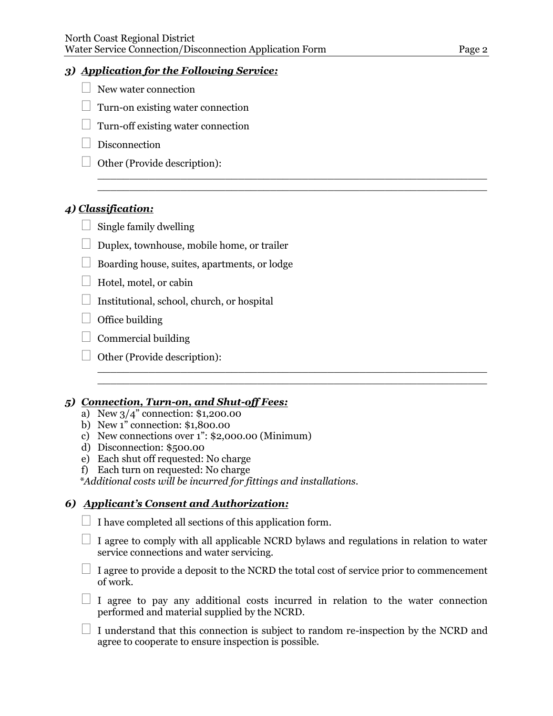#### *3) Application for the Following Service:*

- $\Box$  New water connection
- $\Box$  Turn-on existing water connection
- $\Box$  Turn-off existing water connection
- $\Box$  Disconnection
- $\Box$  Other (Provide description):

## *4) Classification:*

- $\Box$  Single family dwelling
- $\Box$  Duplex, townhouse, mobile home, or trailer
- $\Box$  Boarding house, suites, apartments, or lodge
- $\Box$  Hotel, motel, or cabin
- $\Box$  Institutional, school, church, or hospital
- $\Box$  Office building
- $\Box$  Commercial building
- $\Box$  Other (Provide description):

#### *5) Connection, Turn-on, and Shut-off Fees:*

- a) New 3/4" connection: \$1,200.00
- b) New 1" connection: \$1,800.00
- c) New connections over 1": \$2,000.00 (Minimum)
- d) Disconnection: \$500.00
- e) Each shut off requested: No charge
- f) Each turn on requested: No charge

*\*Additional costs will be incurred for fittings and installations.* 

## *6) Applicant's Consent and Authorization:*

- $\Box$  I have completed all sections of this application form.
- $\Box$  I agree to comply with all applicable NCRD bylaws and regulations in relation to water service connections and water servicing.

 $\_$  , and the set of the set of the set of the set of the set of the set of the set of the set of the set of the set of the set of the set of the set of the set of the set of the set of the set of the set of the set of th  $\_$  , and the set of the set of the set of the set of the set of the set of the set of the set of the set of the set of the set of the set of the set of the set of the set of the set of the set of the set of the set of th

 $\_$  , and the set of the set of the set of the set of the set of the set of the set of the set of the set of the set of the set of the set of the set of the set of the set of the set of the set of the set of the set of th  $\_$  , and the set of the set of the set of the set of the set of the set of the set of the set of the set of the set of the set of the set of the set of the set of the set of the set of the set of the set of the set of th

- $\Box$  I agree to provide a deposit to the NCRD the total cost of service prior to commencement of work.
- $\Box$  I agree to pay any additional costs incurred in relation to the water connection performed and material supplied by the NCRD.
- $\Box$  I understand that this connection is subject to random re-inspection by the NCRD and agree to cooperate to ensure inspection is possible.